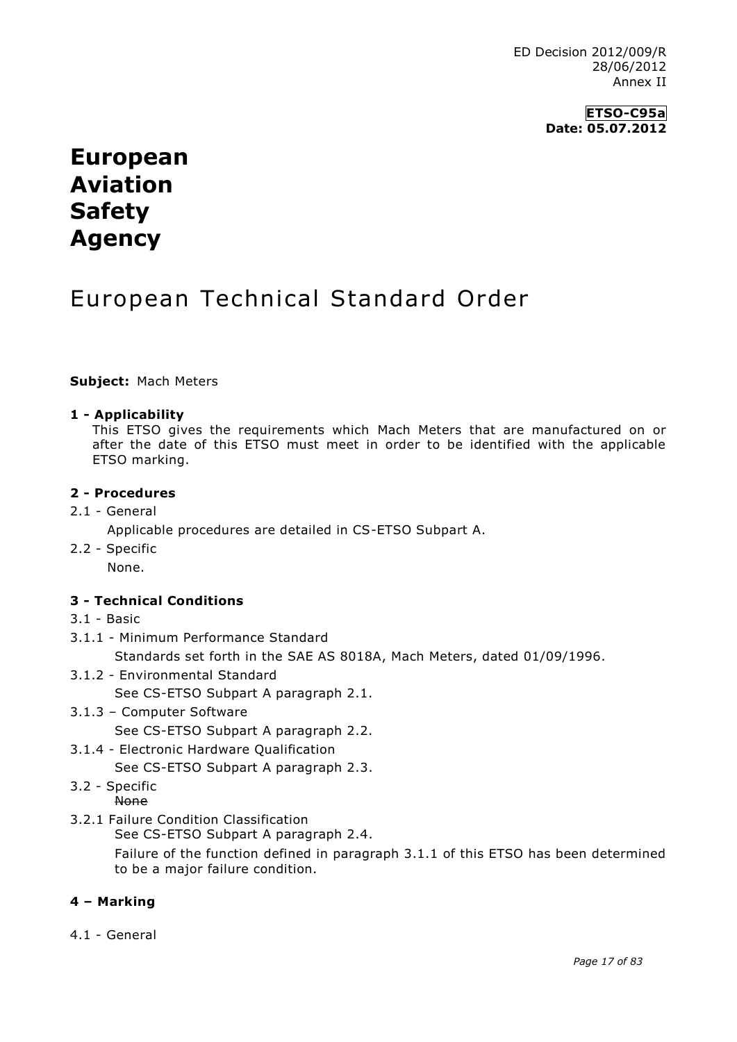**ETSO-C95a Date: 05.07.2012**

# **European Aviation Safety Agency**

# European Technical Standard Order

### **Subject:** Mach Meters

### **1 - Applicability**

This ETSO gives the requirements which Mach Meters that are manufactured on or after the date of this ETSO must meet in order to be identified with the applicable ETSO marking.

#### **2 - Procedures**

2.1 - General

Applicable procedures are detailed in CS-ETSO Subpart A.

2.2 - Specific

None.

## **3 - Technical Conditions**

- 3.1 Basic
- 3.1.1 Minimum Performance Standard

Standards set forth in the SAE AS 8018A, Mach Meters, dated 01/09/1996.

- 3.1.2 Environmental Standard
	- See CS-ETSO Subpart A paragraph 2.1.
- 3.1.3 Computer Software See CS-ETSO Subpart A paragraph 2.2.
- 3.1.4 Electronic Hardware Qualification

See CS-ETSO Subpart A paragraph 2.3.

3.2 - Specific

None

3.2.1 Failure Condition Classification

See CS-ETSO Subpart A paragraph 2.4.

Failure of the function defined in paragraph 3.1.1 of this ETSO has been determined to be a major failure condition.

## **4 – Marking**

4.1 - General